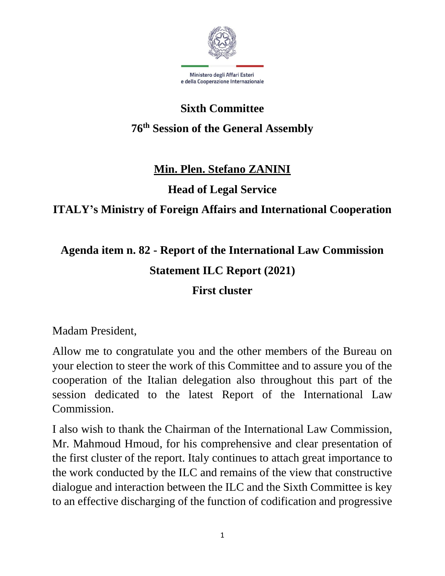

# **Sixth Committee 76th Session of the General Assembly**

#### **Min. Plen. Stefano ZANINI**

**Head of Legal Service**

### **ITALY's Ministry of Foreign Affairs and International Cooperation**

## **Agenda item n. 82 - Report of the International Law Commission Statement ILC Report (2021)**

### **First cluster**

Madam President,

Allow me to congratulate you and the other members of the Bureau on your election to steer the work of this Committee and to assure you of the cooperation of the Italian delegation also throughout this part of the session dedicated to the latest Report of the International Law Commission.

I also wish to thank the Chairman of the International Law Commission, Mr. Mahmoud Hmoud, for his comprehensive and clear presentation of the first cluster of the report. Italy continues to attach great importance to the work conducted by the ILC and remains of the view that constructive dialogue and interaction between the ILC and the Sixth Committee is key to an effective discharging of the function of codification and progressive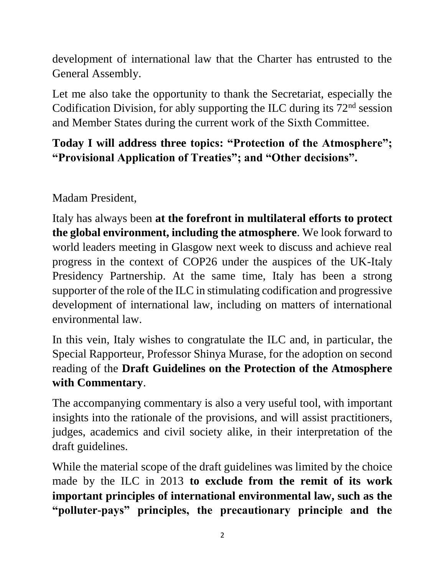development of international law that the Charter has entrusted to the General Assembly.

Let me also take the opportunity to thank the Secretariat, especially the Codification Division, for ably supporting the ILC during its  $72<sup>nd</sup>$  session and Member States during the current work of the Sixth Committee.

### **Today I will address three topics: "Protection of the Atmosphere"; "Provisional Application of Treaties"; and "Other decisions".**

Madam President,

Italy has always been **at the forefront in multilateral efforts to protect the global environment, including the atmosphere**. We look forward to world leaders meeting in Glasgow next week to discuss and achieve real progress in the context of COP26 under the auspices of the UK-Italy Presidency Partnership. At the same time, Italy has been a strong supporter of the role of the ILC in stimulating codification and progressive development of international law, including on matters of international environmental law.

In this vein, Italy wishes to congratulate the ILC and, in particular, the Special Rapporteur, Professor Shinya Murase, for the adoption on second reading of the **Draft Guidelines on the Protection of the Atmosphere with Commentary**.

The accompanying commentary is also a very useful tool, with important insights into the rationale of the provisions, and will assist practitioners, judges, academics and civil society alike, in their interpretation of the draft guidelines.

While the material scope of the draft guidelines was limited by the choice made by the ILC in 2013 **to exclude from the remit of its work important principles of international environmental law, such as the "polluter-pays" principles, the precautionary principle and the**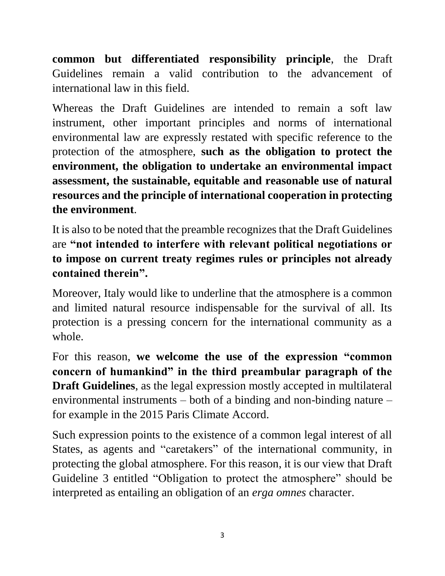**common but differentiated responsibility principle**, the Draft Guidelines remain a valid contribution to the advancement of international law in this field.

Whereas the Draft Guidelines are intended to remain a soft law instrument, other important principles and norms of international environmental law are expressly restated with specific reference to the protection of the atmosphere, **such as the obligation to protect the environment, the obligation to undertake an environmental impact assessment, the sustainable, equitable and reasonable use of natural resources and the principle of international cooperation in protecting the environment**.

It is also to be noted that the preamble recognizes that the Draft Guidelines are **"not intended to interfere with relevant political negotiations or to impose on current treaty regimes rules or principles not already contained therein".**

Moreover, Italy would like to underline that the atmosphere is a common and limited natural resource indispensable for the survival of all. Its protection is a pressing concern for the international community as a whole.

For this reason, **we welcome the use of the expression "common concern of humankind" in the third preambular paragraph of the Draft Guidelines**, as the legal expression mostly accepted in multilateral environmental instruments – both of a binding and non-binding nature – for example in the 2015 Paris Climate Accord.

Such expression points to the existence of a common legal interest of all States, as agents and "caretakers" of the international community, in protecting the global atmosphere. For this reason, it is our view that Draft Guideline 3 entitled "Obligation to protect the atmosphere" should be interpreted as entailing an obligation of an *erga omnes* character.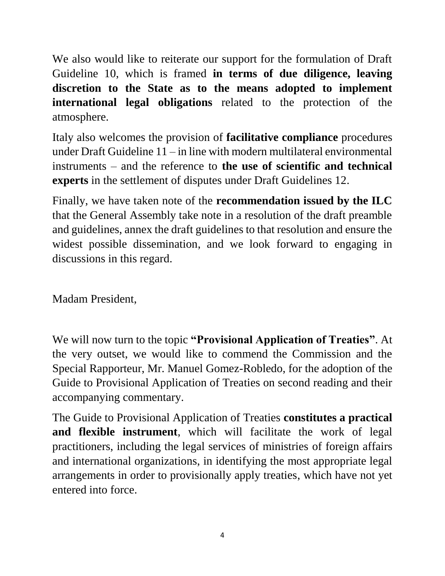We also would like to reiterate our support for the formulation of Draft Guideline 10, which is framed **in terms of due diligence, leaving discretion to the State as to the means adopted to implement international legal obligations** related to the protection of the atmosphere.

Italy also welcomes the provision of **facilitative compliance** procedures under Draft Guideline 11 – in line with modern multilateral environmental instruments – and the reference to **the use of scientific and technical experts** in the settlement of disputes under Draft Guidelines 12.

Finally, we have taken note of the **recommendation issued by the ILC** that the General Assembly take note in a resolution of the draft preamble and guidelines, annex the draft guidelines to that resolution and ensure the widest possible dissemination, and we look forward to engaging in discussions in this regard.

Madam President,

We will now turn to the topic **"Provisional Application of Treaties"**. At the very outset, we would like to commend the Commission and the Special Rapporteur, Mr. Manuel Gomez-Robledo, for the adoption of the Guide to Provisional Application of Treaties on second reading and their accompanying commentary.

The Guide to Provisional Application of Treaties **constitutes a practical and flexible instrument**, which will facilitate the work of legal practitioners, including the legal services of ministries of foreign affairs and international organizations, in identifying the most appropriate legal arrangements in order to provisionally apply treaties, which have not yet entered into force.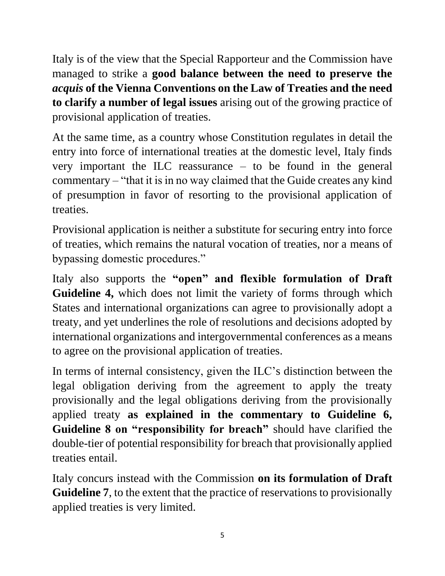Italy is of the view that the Special Rapporteur and the Commission have managed to strike a **good balance between the need to preserve the**  *acquis* **of the Vienna Conventions on the Law of Treaties and the need to clarify a number of legal issues** arising out of the growing practice of provisional application of treaties.

At the same time, as a country whose Constitution regulates in detail the entry into force of international treaties at the domestic level, Italy finds very important the ILC reassurance – to be found in the general commentary – "that it is in no way claimed that the Guide creates any kind of presumption in favor of resorting to the provisional application of treaties.

Provisional application is neither a substitute for securing entry into force of treaties, which remains the natural vocation of treaties, nor a means of bypassing domestic procedures."

Italy also supports the **"open" and flexible formulation of Draft Guideline 4,** which does not limit the variety of forms through which States and international organizations can agree to provisionally adopt a treaty, and yet underlines the role of resolutions and decisions adopted by international organizations and intergovernmental conferences as a means to agree on the provisional application of treaties.

In terms of internal consistency, given the ILC's distinction between the legal obligation deriving from the agreement to apply the treaty provisionally and the legal obligations deriving from the provisionally applied treaty **as explained in the commentary to Guideline 6, Guideline 8 on "responsibility for breach"** should have clarified the double-tier of potential responsibility for breach that provisionally applied treaties entail.

Italy concurs instead with the Commission **on its formulation of Draft Guideline 7**, to the extent that the practice of reservations to provisionally applied treaties is very limited.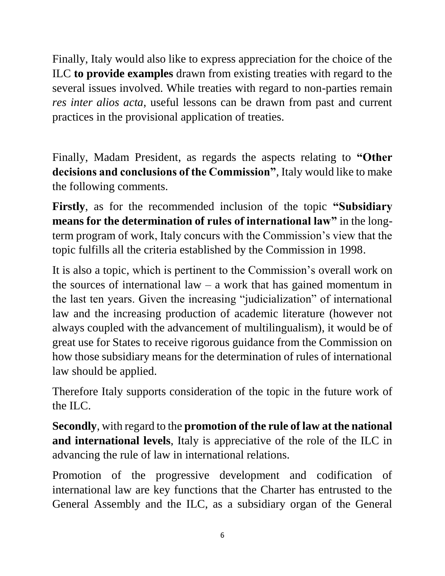Finally, Italy would also like to express appreciation for the choice of the ILC **to provide examples** drawn from existing treaties with regard to the several issues involved. While treaties with regard to non-parties remain *res inter alios acta*, useful lessons can be drawn from past and current practices in the provisional application of treaties.

Finally, Madam President, as regards the aspects relating to **"Other decisions and conclusions of the Commission"**, Italy would like to make the following comments.

**Firstly**, as for the recommended inclusion of the topic **"Subsidiary means for the determination of rules of international law"** in the longterm program of work, Italy concurs with the Commission's view that the topic fulfills all the criteria established by the Commission in 1998.

It is also a topic, which is pertinent to the Commission's overall work on the sources of international law – a work that has gained momentum in the last ten years. Given the increasing "judicialization" of international law and the increasing production of academic literature (however not always coupled with the advancement of multilingualism), it would be of great use for States to receive rigorous guidance from the Commission on how those subsidiary means for the determination of rules of international law should be applied.

Therefore Italy supports consideration of the topic in the future work of the ILC.

**Secondly**, with regard to the **promotion of the rule of law at the national and international levels**, Italy is appreciative of the role of the ILC in advancing the rule of law in international relations.

Promotion of the progressive development and codification of international law are key functions that the Charter has entrusted to the General Assembly and the ILC, as a subsidiary organ of the General